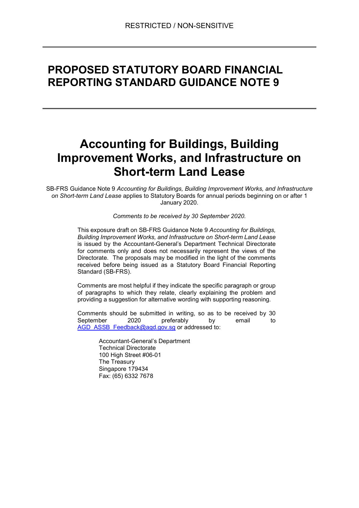## PROPOSED STATUTORY BOARD FINANCIAL REPORTING STANDARD GUIDANCE NOTE 9

# Accounting for Buildings, Building Improvement Works, and Infrastructure on Short-term Land Lease

SB-FRS Guidance Note 9 Accounting for Buildings, Building Improvement Works, and Infrastructure on Short-term Land Lease applies to Statutory Boards for annual periods beginning on or after 1 January 2020.

Comments to be received by 30 September 2020.

This exposure draft on SB-FRS Guidance Note 9 Accounting for Buildings, Building Improvement Works, and Infrastructure on Short-term Land Lease is issued by the Accountant-General's Department Technical Directorate for comments only and does not necessarily represent the views of the Directorate. The proposals may be modified in the light of the comments received before being issued as a Statutory Board Financial Reporting Standard (SB-FRS).

Comments are most helpful if they indicate the specific paragraph or group of paragraphs to which they relate, clearly explaining the problem and providing a suggestion for alternative wording with supporting reasoning.

Comments should be submitted in writing, so as to be received by 30 September 2020 preferably by email to AGD\_ASSB\_Feedback@agd.gov.sg or addressed to:

> Accountant-General's Department Technical Directorate 100 High Street #06-01 The Treasury Singapore 179434 Fax: (65) 6332 7678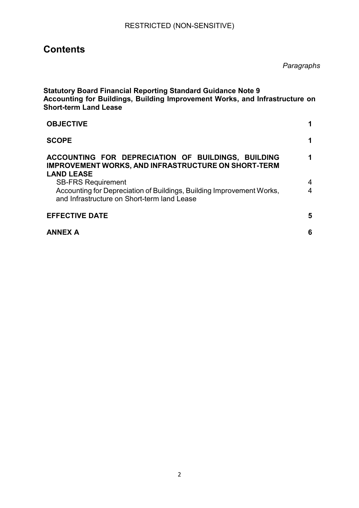## **Contents**

Paragraphs

| <b>Statutory Board Financial Reporting Standard Guidance Note 9</b><br>Accounting for Buildings, Building Improvement Works, and Infrastructure on<br><b>Short-term Land Lease</b> |   |
|------------------------------------------------------------------------------------------------------------------------------------------------------------------------------------|---|
| <b>OBJECTIVE</b>                                                                                                                                                                   | 1 |
| <b>SCOPE</b>                                                                                                                                                                       | 1 |
| ACCOUNTING FOR DEPRECIATION OF BUILDINGS, BUILDING<br><b>IMPROVEMENT WORKS, AND INFRASTRUCTURE ON SHORT-TERM</b><br><b>LAND LEASE</b>                                              | 1 |
| <b>SB-FRS Requirement</b>                                                                                                                                                          | 4 |
| Accounting for Depreciation of Buildings, Building Improvement Works,<br>and Infrastructure on Short-term land Lease                                                               | 4 |
| <b>EFFECTIVE DATE</b>                                                                                                                                                              | 5 |
| <b>ANNEX A</b>                                                                                                                                                                     | 6 |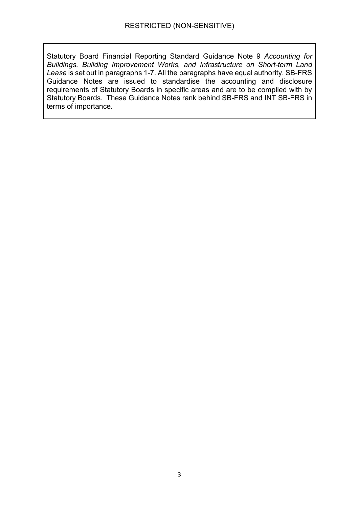Statutory Board Financial Reporting Standard Guidance Note 9 Accounting for Buildings, Building Improvement Works, and Infrastructure on Short-term Land Lease is set out in paragraphs 1-7. All the paragraphs have equal authority. SB-FRS Guidance Notes are issued to standardise the accounting and disclosure requirements of Statutory Boards in specific areas and are to be complied with by Statutory Boards. These Guidance Notes rank behind SB-FRS and INT SB-FRS in terms of importance.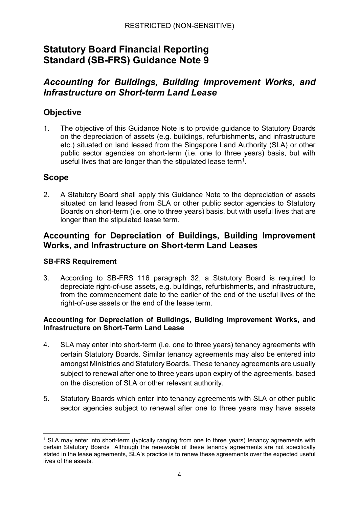## Statutory Board Financial Reporting Standard (SB-FRS) Guidance Note 9

## Accounting for Buildings, Building Improvement Works, and Infrastructure on Short-term Land Lease

### **Objective**

1. The objective of this Guidance Note is to provide guidance to Statutory Boards on the depreciation of assets (e.g. buildings, refurbishments, and infrastructure etc.) situated on land leased from the Singapore Land Authority (SLA) or other public sector agencies on short-term (i.e. one to three years) basis, but with useful lives that are longer than the stipulated lease term<sup>1</sup>.

### Scope

2. A Statutory Board shall apply this Guidance Note to the depreciation of assets situated on land leased from SLA or other public sector agencies to Statutory Boards on short-term (i.e. one to three years) basis, but with useful lives that are longer than the stipulated lease term.

### Accounting for Depreciation of Buildings, Building Improvement Works, and Infrastructure on Short-term Land Leases

#### SB-FRS Requirement

3. According to SB-FRS 116 paragraph 32, a Statutory Board is required to depreciate right-of-use assets, e.g. buildings, refurbishments, and infrastructure, from the commencement date to the earlier of the end of the useful lives of the right-of-use assets or the end of the lease term.

#### Accounting for Depreciation of Buildings, Building Improvement Works, and Infrastructure on Short-Term Land Lease

- 4. SLA may enter into short-term (i.e. one to three years) tenancy agreements with certain Statutory Boards. Similar tenancy agreements may also be entered into amongst Ministries and Statutory Boards. These tenancy agreements are usually subject to renewal after one to three years upon expiry of the agreements, based on the discretion of SLA or other relevant authority.
- 5. Statutory Boards which enter into tenancy agreements with SLA or other public sector agencies subject to renewal after one to three years may have assets

<sup>-</sup>1 SLA may enter into short-term (typically ranging from one to three years) tenancy agreements with certain Statutory Boards Although the renewable of these tenancy agreements are not specifically stated in the lease agreements, SLA's practice is to renew these agreements over the expected useful lives of the assets.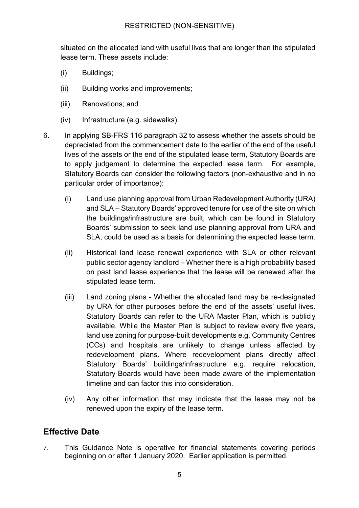#### RESTRICTED (NON-SENSITIVE)

situated on the allocated land with useful lives that are longer than the stipulated lease term. These assets include:

- (i) Buildings;
- (ii) Building works and improvements;
- (iii) Renovations; and
- (iv) Infrastructure (e.g. sidewalks)
- 6. In applying SB-FRS 116 paragraph 32 to assess whether the assets should be depreciated from the commencement date to the earlier of the end of the useful lives of the assets or the end of the stipulated lease term, Statutory Boards are to apply judgement to determine the expected lease term. For example, Statutory Boards can consider the following factors (non-exhaustive and in no particular order of importance):
	- (i) Land use planning approval from Urban Redevelopment Authority (URA) and SLA – Statutory Boards' approved tenure for use of the site on which the buildings/infrastructure are built, which can be found in Statutory Boards' submission to seek land use planning approval from URA and SLA, could be used as a basis for determining the expected lease term.
	- (ii) Historical land lease renewal experience with SLA or other relevant public sector agency landlord – Whether there is a high probability based on past land lease experience that the lease will be renewed after the stipulated lease term.
	- (iii) Land zoning plans Whether the allocated land may be re-designated by URA for other purposes before the end of the assets' useful lives. Statutory Boards can refer to the URA Master Plan, which is publicly available. While the Master Plan is subject to review every five years, land use zoning for purpose-built developments e.g. Community Centres (CCs) and hospitals are unlikely to change unless affected by redevelopment plans. Where redevelopment plans directly affect Statutory Boards' buildings/infrastructure e.g. require relocation, Statutory Boards would have been made aware of the implementation timeline and can factor this into consideration.
	- (iv) Any other information that may indicate that the lease may not be renewed upon the expiry of the lease term.

## Effective Date

7. This Guidance Note is operative for financial statements covering periods beginning on or after 1 January 2020. Earlier application is permitted.